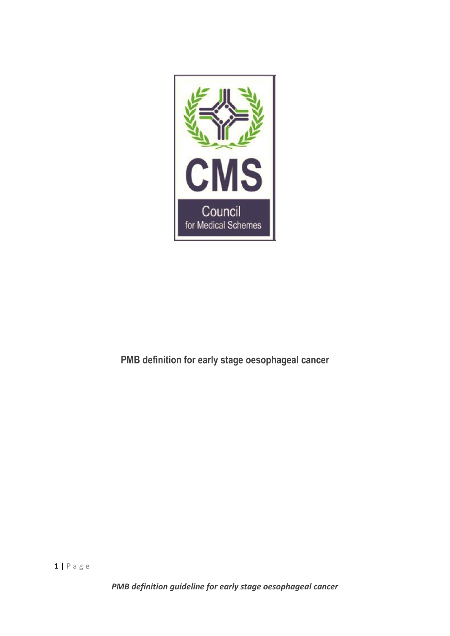

# **PMB definition for early stage oesophageal cancer**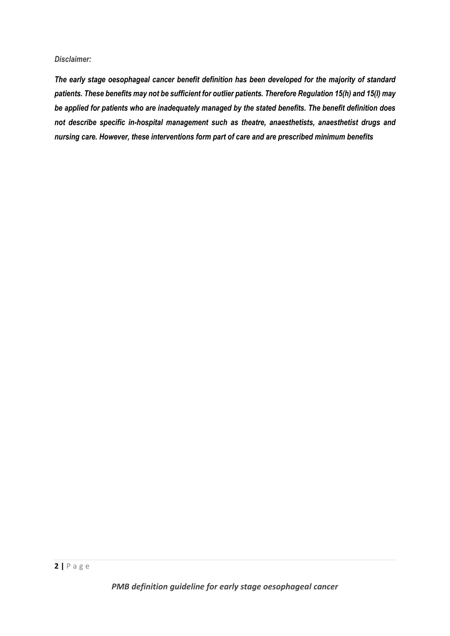#### *Disclaimer:*

*The early stage oesophageal cancer benefit definition has been developed for the majority of standard patients. These benefits may not be sufficient for outlier patients. Therefore Regulation 15(h) and 15(I) may be applied for patients who are inadequately managed by the stated benefits. The benefit definition does not describe specific in-hospital management such as theatre, anaesthetists, anaesthetist drugs and nursing care. However, these interventions form part of care and are prescribed minimum benefits*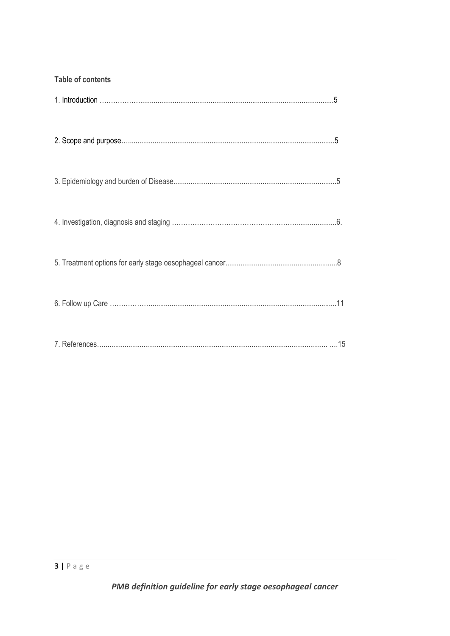| <b>Table of contents</b> |
|--------------------------|
|                          |
|                          |
|                          |
|                          |
|                          |
|                          |
|                          |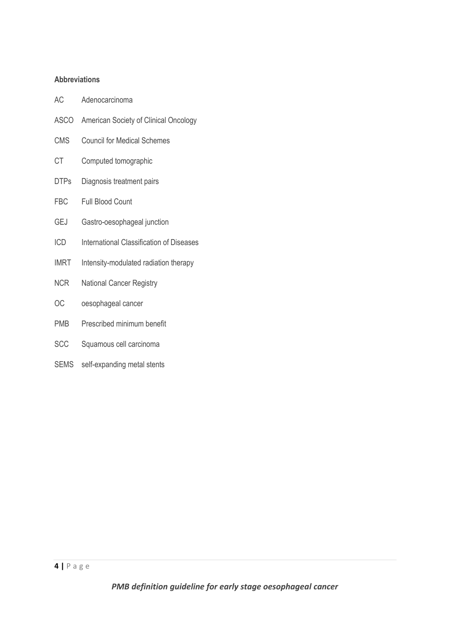#### **Abbreviations**

- AC Adenocarcinoma
- ASCO American Society of Clinical Oncology
- CMS Council for Medical Schemes
- CT Computed tomographic
- DTPs Diagnosis treatment pairs
- FBC Full Blood Count
- GEJ Gastro-oesophageal junction
- ICD International Classification of Diseases
- IMRT Intensity-modulated radiation therapy
- NCR National Cancer Registry
- OC oesophageal cancer
- PMB Prescribed minimum benefit
- SCC Squamous cell carcinoma
- SEMS self-expanding metal stents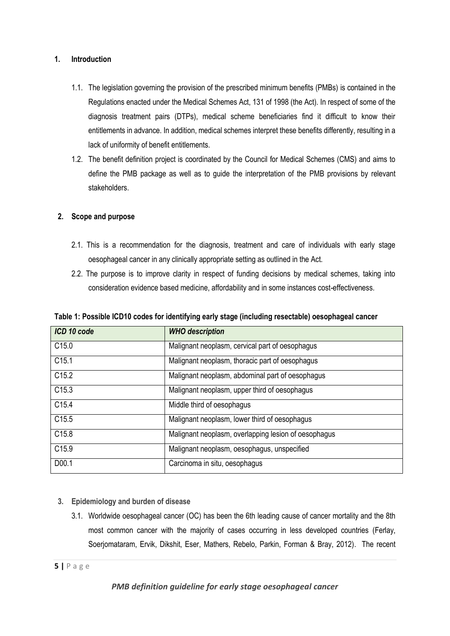### **1. Introduction**

- 1.1. The legislation governing the provision of the prescribed minimum benefits (PMBs) is contained in the Regulations enacted under the Medical Schemes Act, 131 of 1998 (the Act). In respect of some of the diagnosis treatment pairs (DTPs), medical scheme beneficiaries find it difficult to know their entitlements in advance. In addition, medical schemes interpret these benefits differently, resulting in a lack of uniformity of benefit entitlements.
- 1.2. The benefit definition project is coordinated by the Council for Medical Schemes (CMS) and aims to define the PMB package as well as to guide the interpretation of the PMB provisions by relevant stakeholders.

## **2. Scope and purpose**

- 2.1. This is a recommendation for the diagnosis, treatment and care of individuals with early stage oesophageal cancer in any clinically appropriate setting as outlined in the Act.
- 2.2. The purpose is to improve clarity in respect of funding decisions by medical schemes, taking into consideration evidence based medicine, affordability and in some instances cost-effectiveness.

| Table 1: Possible ICD10 codes for identifying early stage (including resectable) oesophageal cancer |  |  |
|-----------------------------------------------------------------------------------------------------|--|--|
|-----------------------------------------------------------------------------------------------------|--|--|

| ICD 10 code       | <b>WHO</b> description                               |
|-------------------|------------------------------------------------------|
| C <sub>15.0</sub> | Malignant neoplasm, cervical part of oesophagus      |
| C15.1             | Malignant neoplasm, thoracic part of oesophagus      |
| C <sub>15.2</sub> | Malignant neoplasm, abdominal part of oesophagus     |
| C <sub>15.3</sub> | Malignant neoplasm, upper third of oesophagus        |
| C <sub>15.4</sub> | Middle third of oesophagus                           |
| C <sub>15.5</sub> | Malignant neoplasm, lower third of oesophagus        |
| C15.8             | Malignant neoplasm, overlapping lesion of oesophagus |
| C <sub>15.9</sub> | Malignant neoplasm, oesophagus, unspecified          |
| D00.1             | Carcinoma in situ, oesophagus                        |

- **3. Epidemiology and burden of disease**
	- 3.1. Worldwide oesophageal cancer (OC) has been the 6th leading cause of cancer mortality and the 8th most common cancer with the majority of cases occurring in less developed countries (Ferlay, Soerjomataram, Ervik, Dikshit, Eser, Mathers, Rebelo, Parkin, Forman & Bray, 2012). The recent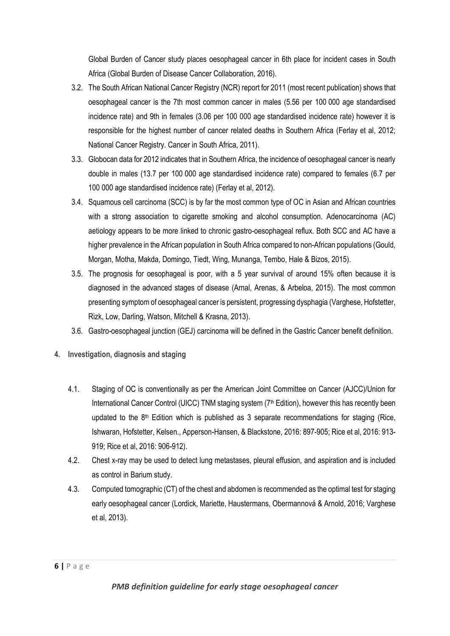Global Burden of Cancer study places oesophageal cancer in 6th place for incident cases in South Africa (Global Burden of Disease Cancer Collaboration, 2016).

- 3.2. The South African National Cancer Registry (NCR) report for 2011 (most recent publication) shows that oesophageal cancer is the 7th most common cancer in males (5.56 per 100 000 age standardised incidence rate) and 9th in females (3.06 per 100 000 age standardised incidence rate) however it is responsible for the highest number of cancer related deaths in Southern Africa (Ferlay et al, 2012; National Cancer Registry. Cancer in South Africa, 2011).
- 3.3. Globocan data for 2012 indicates that in Southern Africa, the incidence of oesophageal cancer is nearly double in males (13.7 per 100 000 age standardised incidence rate) compared to females (6.7 per 100 000 age standardised incidence rate) (Ferlay et al, 2012).
- 3.4. Squamous cell carcinoma (SCC) is by far the most common type of OC in Asian and African countries with a strong association to cigarette smoking and alcohol consumption. Adenocarcinoma (AC) aetiology appears to be more linked to chronic gastro-oesophageal reflux. Both SCC and AC have a higher prevalence in the African population in South Africa compared to non-African populations (Gould, Morgan, Motha, Makda, Domingo, Tiedt, Wing, Munanga, Tembo, Hale & Bizos, 2015).
- 3.5. The prognosis for oesophageal is poor, with a 5 year survival of around 15% often because it is diagnosed in the advanced stages of disease (Arnal, Arenas, & Arbeloa, 2015). The most common presenting symptom of oesophageal cancer is persistent, progressing dysphagia (Varghese, Hofstetter, Rizk, Low, Darling, Watson, Mitchell & Krasna, 2013).
- 3.6. Gastro-oesophageal junction (GEJ) carcinoma will be defined in the Gastric Cancer benefit definition.
- **4. Investigation, diagnosis and staging**
	- 4.1. Staging of OC is conventionally as per the American Joint Committee on Cancer (AJCC)/Union for International Cancer Control (UICC) TNM staging system (7<sup>th</sup> Edition), however this has recently been updated to the  $8<sup>th</sup>$  Edition which is published as 3 separate recommendations for staging (Rice, Ishwaran, Hofstetter, Kelsen., Apperson-Hansen, & Blackstone, 2016: 897-905; Rice et al, 2016: 913- 919; Rice et al, 2016: 906-912).
	- 4.2. Chest x-ray may be used to detect lung metastases, pleural effusion, and aspiration and is included as control in Barium study.
	- 4.3. Computed tomographic (CT) of the chest and abdomen is recommended as the optimal test for staging early oesophageal cancer (Lordick, Mariette, Haustermans, Obermannová & Arnold, 2016; Varghese et al, 2013).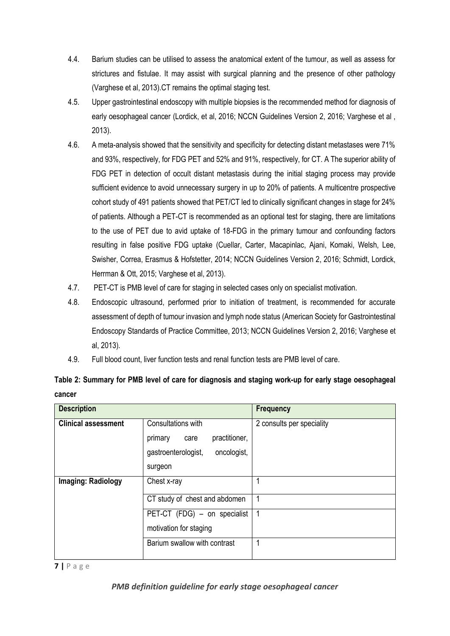- 4.4. Barium studies can be utilised to assess the anatomical extent of the tumour, as well as assess for strictures and fistulae. It may assist with surgical planning and the presence of other pathology (Varghese et al, 2013).CT remains the optimal staging test.
- 4.5. Upper gastrointestinal endoscopy with multiple biopsies is the recommended method for diagnosis of early oesophageal cancer (Lordick, et al, 2016; NCCN Guidelines Version 2, 2016; Varghese et al , 2013).
- 4.6. A meta-analysis showed that the sensitivity and specificity for detecting distant metastases were 71% and 93%, respectively, for FDG PET and 52% and 91%, respectively, for CT. A The superior ability of FDG PET in detection of occult distant metastasis during the initial staging process may provide sufficient evidence to avoid unnecessary surgery in up to 20% of patients. A multicentre prospective cohort study of 491 patients showed that PET/CT led to clinically significant changes in stage for 24% of patients. Although a PET-CT is recommended as an optional test for staging, there are limitations to the use of PET due to avid uptake of 18-FDG in the primary tumour and confounding factors resulting in false positive FDG uptake (Cuellar, Carter, Macapinlac, Ajani, Komaki, Welsh, Lee, Swisher, Correa, Erasmus & Hofstetter, 2014; NCCN Guidelines Version 2, 2016; Schmidt, Lordick, Herrman & Ott, 2015; Varghese et al, 2013).
- 4.7. PET-CT is PMB level of care for staging in selected cases only on specialist motivation.
- 4.8. Endoscopic ultrasound, performed prior to initiation of treatment, is recommended for accurate assessment of depth of tumour invasion and lymph node status (American Society for Gastrointestinal Endoscopy Standards of Practice Committee, 2013; NCCN Guidelines Version 2, 2016; Varghese et al, 2013).
- 4.9. Full blood count, liver function tests and renal function tests are PMB level of care.

| Table 2: Summary for PMB level of care for diagnosis and staging work-up for early stage oesophageal |  |  |
|------------------------------------------------------------------------------------------------------|--|--|
| cancer                                                                                               |  |  |

| <b>Description</b>         |                                                        | <b>Frequency</b>          |
|----------------------------|--------------------------------------------------------|---------------------------|
| <b>Clinical assessment</b> | Consultations with<br>practitioner,<br>primary<br>care | 2 consults per speciality |
|                            | gastroenterologist,<br>oncologist,<br>surgeon          |                           |
| <b>Imaging: Radiology</b>  | Chest x-ray                                            |                           |
|                            | CT study of chest and abdomen                          |                           |
|                            | PET-CT (FDG) - on specialist                           | -1                        |
|                            | motivation for staging                                 |                           |
|                            | Barium swallow with contrast                           |                           |

**7 |** P a g e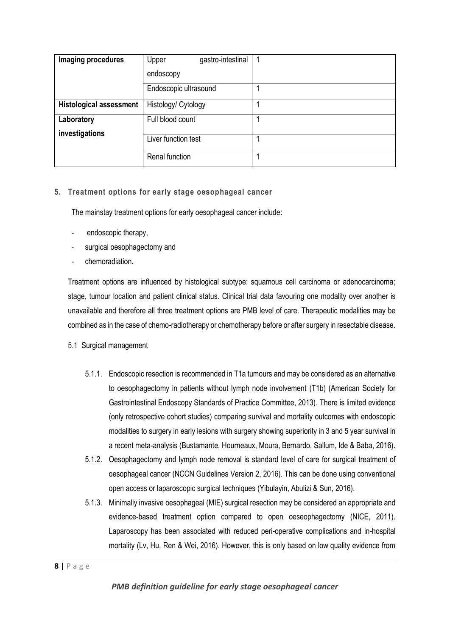| Imaging procedures             | gastro-intestinal<br>Upper |  |
|--------------------------------|----------------------------|--|
|                                | endoscopy                  |  |
|                                | Endoscopic ultrasound      |  |
| <b>Histological assessment</b> | Histology/ Cytology        |  |
| Laboratory<br>investigations   | Full blood count           |  |
|                                | Liver function test        |  |
|                                | Renal function             |  |

#### **5. Treatment options for early stage oesophageal cancer**

The mainstay treatment options for early oesophageal cancer include:

- endoscopic therapy,
- surgical oesophagectomy and
- chemoradiation.

Treatment options are influenced by histological subtype: squamous cell carcinoma or adenocarcinoma; stage, tumour location and patient clinical status. Clinical trial data favouring one modality over another is unavailable and therefore all three treatment options are PMB level of care. Therapeutic modalities may be combined as in the case of chemo-radiotherapy or chemotherapy before or after surgery in resectable disease.

- 5.1 Surgical management
	- 5.1.1. Endoscopic resection is recommended in T1a tumours and may be considered as an alternative to oesophagectomy in patients without lymph node involvement (T1b) (American Society for Gastrointestinal Endoscopy Standards of Practice Committee, 2013). There is limited evidence (only retrospective cohort studies) comparing survival and mortality outcomes with endoscopic modalities to surgery in early lesions with surgery showing superiority in 3 and 5 year survival in a recent meta-analysis (Bustamante, Hourneaux, Moura, Bernardo, Sallum, Ide & Baba, 2016).
	- 5.1.2. Oesophagectomy and lymph node removal is standard level of care for surgical treatment of oesophageal cancer (NCCN Guidelines Version 2, 2016). This can be done using conventional open access or laparoscopic surgical techniques (Yibulayin, Abulizi & Sun, 2016).
	- 5.1.3. Minimally invasive oesophageal (MIE) surgical resection may be considered an appropriate and evidence-based treatment option compared to open oeseophagectomy (NICE, 2011). Laparoscopy has been associated with reduced peri-operative complications and in-hospital mortality (Lv, Hu, Ren & Wei, 2016). However, this is only based on low quality evidence from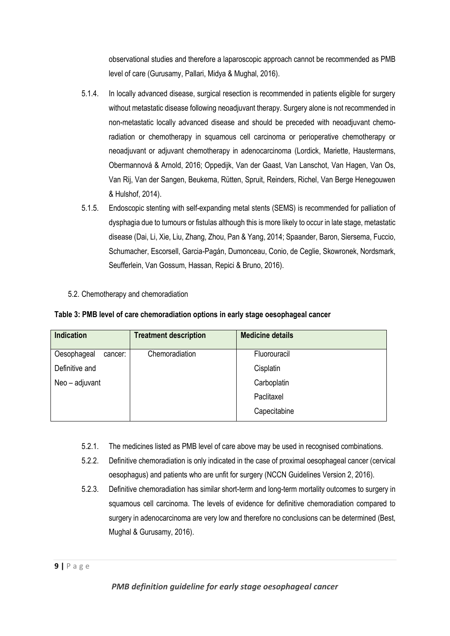observational studies and therefore a laparoscopic approach cannot be recommended as PMB level of care (Gurusamy, Pallari, Midya & Mughal, 2016).

- 5.1.4. In locally advanced disease, surgical resection is recommended in patients eligible for surgery without metastatic disease following neoadjuvant therapy. Surgery alone is not recommended in non-metastatic locally advanced disease and should be preceded with neoadjuvant chemoradiation or chemotherapy in squamous cell carcinoma or perioperative chemotherapy or neoadjuvant or adjuvant chemotherapy in adenocarcinoma (Lordick, Mariette, Haustermans, Obermannová & Arnold, 2016; Oppedijk, Van der Gaast, Van Lanschot, Van Hagen, Van Os, Van Rij, Van der Sangen, Beukema, Rütten, Spruit, Reinders, Richel, Van Berge Henegouwen & Hulshof, 2014).
- 5.1.5. Endoscopic stenting with self-expanding metal stents (SEMS) is recommended for palliation of dysphagia due to tumours or fistulas although this is more likely to occur in late stage, metastatic disease (Dai, Li, Xie, Liu, Zhang, Zhou, Pan & Yang, 2014; Spaander, Baron, Siersema, Fuccio, Schumacher, Escorsell, Garcia-Pagán, Dumonceau, Conio, de Ceglie, Skowronek, Nordsmark, Seufferlein, Van Gossum, Hassan, Repici & Bruno, 2016).
- 5.2. Chemotherapy and chemoradiation

| Table 3: PMB level of care chemoradiation options in early stage oesophageal cancer |  |  |  |
|-------------------------------------------------------------------------------------|--|--|--|
|-------------------------------------------------------------------------------------|--|--|--|

| <b>Indication</b>      | <b>Treatment description</b> | <b>Medicine details</b> |
|------------------------|------------------------------|-------------------------|
| Oesophageal<br>cancer: | Chemoradiation               | Fluorouracil            |
| Definitive and         |                              | Cisplatin               |
| Neo - adjuvant         |                              | Carboplatin             |
|                        |                              | Paclitaxel              |
|                        |                              | Capecitabine            |

- 5.2.1. The medicines listed as PMB level of care above may be used in recognised combinations.
- 5.2.2. Definitive chemoradiation is only indicated in the case of proximal oesophageal cancer (cervical oesophagus) and patients who are unfit for surgery (NCCN Guidelines Version 2, 2016).
- 5.2.3. Definitive chemoradiation has similar short-term and long-term mortality outcomes to surgery in squamous cell carcinoma. The levels of evidence for definitive chemoradiation compared to surgery in adenocarcinoma are very low and therefore no conclusions can be determined (Best, Mughal & Gurusamy, 2016).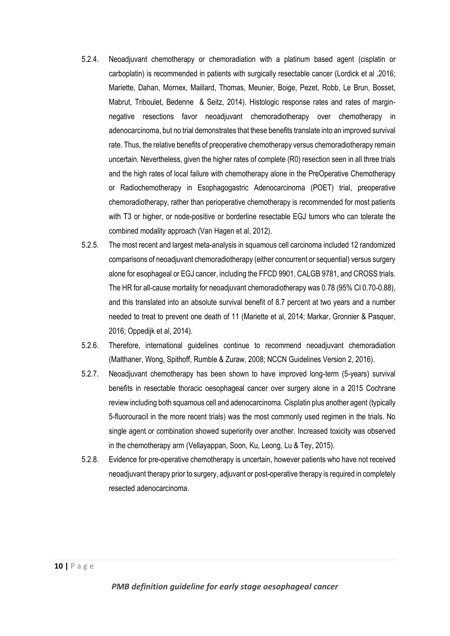- 5.2.4. Neoadjuvant chemotherapy or chemoradiation with a platinum based agent (cisplatin or carboplatin) is recommended in patients with surgically resectable cancer (Lordick et al ,2016; Mariette, Dahan, Mornex, Maillard, Thomas, Meunier, Boige, Pezet, Robb, Le Brun, Bosset, Mabrut, Triboulet, Bedenne & Seitz, 2014). Histologic response rates and rates of marginnegative resections favor neoadjuvant chemoradiotherapy over chemotherapy in adenocarcinoma, but no trial demonstrates that these benefits translate into an improved survival rate. Thus, the relative benefits of preoperative chemotherapy versus chemoradiotherapy remain uncertain. Nevertheless, given the higher rates of complete (R0) resection seen in all three trials and the high rates of local failure with chemotherapy alone in the PreOperative Chemotherapy or Radiochemotherapy in Esophagogastric Adenocarcinoma (POET) trial, preoperative chemoradiotherapy, rather than perioperative chemotherapy is recommended for most patients with T3 or higher, or node-positive or borderline resectable EGJ tumors who can tolerate the combined modality approach (Van Hagen et al, 2012).
- 5.2.5. The most recent and largest meta-analysis in squamous cell carcinoma included 12 randomized comparisons of neoadjuvant chemoradiotherapy (either concurrent or sequential) versus surgery alone for esophageal or EGJ cancer, including the FFCD 9901, CALGB 9781, and CROSS trials. The HR for all-cause mortality for neoadjuvant chemoradiotherapy was 0.78 (95% CI 0.70-0.88), and this translated into an absolute survival benefit of 8.7 percent at two years and a number needed to treat to prevent one death of 11 (Mariette et al, 2014; Markar, Gronnier & Pasquer, 2016; Oppedijk et al, 2014).
- 5.2.6. Therefore, international guidelines continue to recommend neoadjuvant chemoradiation (Malthaner, Wong, Spithoff, Rumble & Zuraw, 2008; NCCN Guidelines Version 2, 2016).
- 5.2.7. Neoadjuvant chemotherapy has been shown to have improved long-term (5-years) survival benefits in resectable thoracic oesophageal cancer over surgery alone in a 2015 Cochrane review including both squamous cell and adenocarcinoma. Cisplatin plus another agent (typically 5-fluorouracil in the more recent trials) was the most commonly used regimen in the trials. No single agent or combination showed superiority over another. Increased toxicity was observed in the chemotherapy arm (Vellayappan, Soon, Ku, Leong, Lu & Tey, 2015).
- 5.2.8. Evidence for pre-operative chemotherapy is uncertain, however patients who have not received neoadjuvant therapy prior to surgery, adjuvant or post-operative therapy is required in completely resected adenocarcinoma.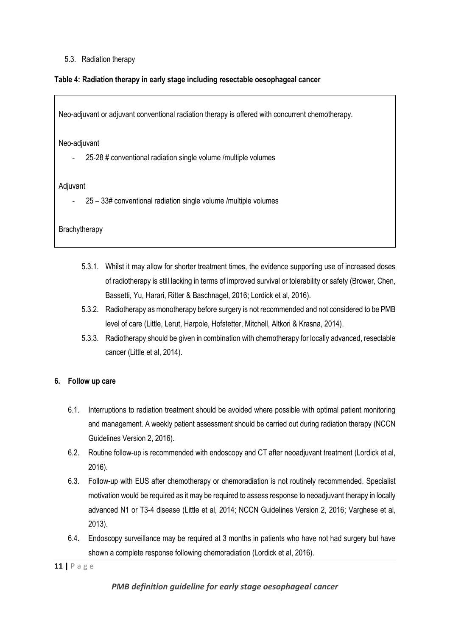#### 5.3. Radiation therapy

#### **Table 4: Radiation therapy in early stage including resectable oesophageal cancer**

Neo-adjuvant or adjuvant conventional radiation therapy is offered with concurrent chemotherapy.

Neo-adjuvant

- 25-28 # conventional radiation single volume /multiple volumes

Adjuvant

- 25 – 33# conventional radiation single volume /multiple volumes

**Brachytherapy** 

- 5.3.1. Whilst it may allow for shorter treatment times, the evidence supporting use of increased doses of radiotherapy is still lacking in terms of improved survival or tolerability or safety (Brower, Chen, Bassetti, Yu, Harari, Ritter & Baschnagel, 2016; Lordick et al, 2016).
- 5.3.2. Radiotherapy as monotherapy before surgery is not recommended and not considered to be PMB level of care (Little, Lerut, Harpole, Hofstetter, Mitchell, Altkori & Krasna, 2014).
- 5.3.3. Radiotherapy should be given in combination with chemotherapy for locally advanced, resectable cancer (Little et al, 2014).

#### **6. Follow up care**

- 6.1. Interruptions to radiation treatment should be avoided where possible with optimal patient monitoring and management. A weekly patient assessment should be carried out during radiation therapy (NCCN Guidelines Version 2, 2016).
- 6.2. Routine follow-up is recommended with endoscopy and CT after neoadjuvant treatment (Lordick et al, 2016).
- 6.3. Follow-up with EUS after chemotherapy or chemoradiation is not routinely recommended. Specialist motivation would be required as it may be required to assess response to neoadjuvant therapy in locally advanced N1 or T3-4 disease (Little et al, 2014; NCCN Guidelines Version 2, 2016; Varghese et al, 2013).
- 6.4. Endoscopy surveillance may be required at 3 months in patients who have not had surgery but have shown a complete response following chemoradiation (Lordick et al, 2016).

**11 |** P a g e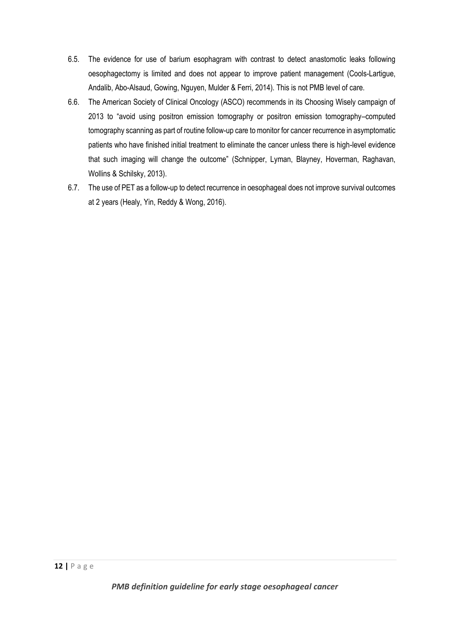- 6.5. The evidence for use of barium esophagram with contrast to detect anastomotic leaks following oesophagectomy is limited and does not appear to improve patient management (Cools-Lartigue, Andalib, Abo-Alsaud, Gowing, Nguyen, Mulder & Ferri, 2014). This is not PMB level of care.
- 6.6. The American Society of Clinical Oncology (ASCO) recommends in its Choosing Wisely campaign of 2013 to "avoid using positron emission tomography or positron emission tomography–computed tomography scanning as part of routine follow-up care to monitor for cancer recurrence in asymptomatic patients who have finished initial treatment to eliminate the cancer unless there is high-level evidence that such imaging will change the outcome" (Schnipper, Lyman, Blayney, Hoverman, Raghavan, Wollins & Schilsky, 2013).
- 6.7. The use of PET as a follow-up to detect recurrence in oesophageal does not improve survival outcomes at 2 years (Healy, Yin, Reddy & Wong, 2016).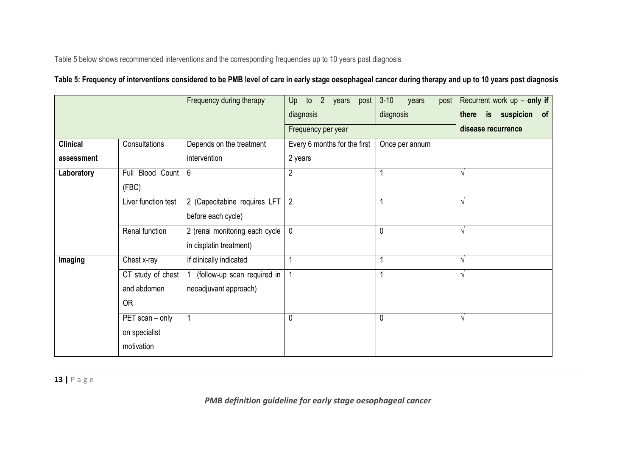Table 5 below shows recommended interventions and the corresponding frequencies up to 10 years post diagnosis

# **Table 5: Frequency of interventions considered to be PMB level of care in early stage oesophageal cancer during therapy and up to 10 years post diagnosis**

|                 |                     | Frequency during therapy       | 2 years post<br>Up<br>to     | $3 - 10$<br>years<br>post | Recurrent work $up$ – only if |
|-----------------|---------------------|--------------------------------|------------------------------|---------------------------|-------------------------------|
|                 |                     |                                | diagnosis                    | diagnosis                 | there is suspicion<br>of      |
|                 |                     |                                | Frequency per year           |                           | disease recurrence            |
| <b>Clinical</b> | Consultations       | Depends on the treatment       | Every 6 months for the first | Once per annum            |                               |
| assessment      |                     | intervention                   | 2 years                      |                           |                               |
| Laboratory      | Blood Count<br>Full | 6                              | $\overline{2}$               |                           | V                             |
|                 | (FBC)               |                                |                              |                           |                               |
|                 | Liver function test | 2 (Capecitabine requires LFT   | $\overline{2}$               |                           | $\sqrt{ }$                    |
|                 |                     | before each cycle)             |                              |                           |                               |
|                 | Renal function      | 2 (renal monitoring each cycle | $\mathbf 0$                  | $\Omega$                  | V                             |
|                 |                     | in cisplatin treatment)        |                              |                           |                               |
| Imaging         | Chest x-ray         | If clinically indicated        |                              |                           | V                             |
|                 | CT study of chest   | (follow-up scan required in    | $\overline{1}$               |                           | $\sqrt{ }$                    |
|                 | and abdomen         | neoadjuvant approach)          |                              |                           |                               |
|                 | OR                  |                                |                              |                           |                               |
|                 | PET scan - only     | 1                              | 0                            | 0                         | $\sqrt{ }$                    |
|                 | on specialist       |                                |                              |                           |                               |
|                 | motivation          |                                |                              |                           |                               |

**13 |** P a g e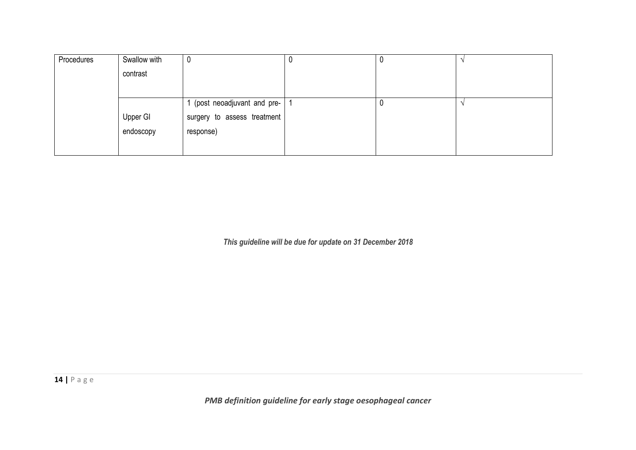| Swallow with | U                           | υ                          |  |
|--------------|-----------------------------|----------------------------|--|
| contrast     |                             |                            |  |
|              |                             |                            |  |
|              |                             |                            |  |
| Upper GI     | surgery to assess treatment |                            |  |
| endoscopy    | response)                   |                            |  |
|              |                             |                            |  |
|              |                             | (post neoadjuvant and pre- |  |

*This guideline will be due for update on 31 December 2018*

**14 |** P a g e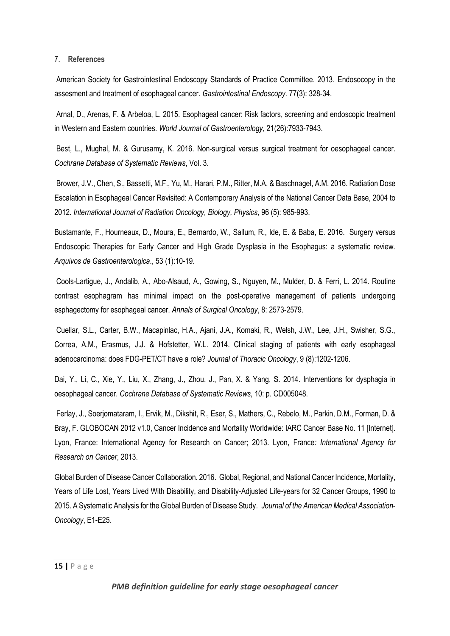#### 7. **References**

American Society for Gastrointestinal Endoscopy Standards of Practice Committee. 2013. Endosocopy in the assesment and treatment of esophageal cancer. *Gastrointestinal Endoscopy.* 77(3): 328-34.

Arnal, D., Arenas, F. & Arbeloa, L. 2015. Esophageal cancer: Risk factors, screening and endoscopic treatment in Western and Eastern countries. *World Journal of Gastroenterology*, 21(26):7933-7943.

Best, L., Mughal, M. & Gurusamy, K. 2016. Non-surgical versus surgical treatment for oesophageal cancer. *Cochrane Database of Systematic Reviews*, Vol. 3.

Brower, J.V., Chen, S., Bassetti, M.F., Yu, M., Harari, P.M., Ritter, M.A. & Baschnagel, A.M. 2016. Radiation Dose Escalation in Esophageal Cancer Revisited: A Contemporary Analysis of the National Cancer Data Base, 2004 to 2012. *International Journal of Radiation Oncology, Biology, Physics*, 96 (5): 985-993.

Bustamante, F., Hourneaux, D., Moura, E., Bernardo, W., Sallum, R., Ide, E. & Baba, E. 2016. Surgery versus Endoscopic Therapies for Early Cancer and High Grade Dysplasia in the Esophagus: a systematic review. *Arquivos de Gastroenterologica*., 53 (1):10-19.

Cools-Lartigue, J., Andalib, A., Abo-Alsaud, A., Gowing, S., Nguyen, M., Mulder, D. & Ferri, L. 2014. Routine contrast esophagram has minimal impact on the post-operative management of patients undergoing esphagectomy for esophageal cancer. *Annals of Surgical Oncology*, 8: 2573-2579.

Cuellar, S.L., Carter, B.W., Macapinlac, H.A., Ajani, J.A., Komaki, R., Welsh, J.W., Lee, J.H., Swisher, S.G., Correa, A.M., Erasmus, J.J. & Hofstetter, W.L. 2014. Clinical staging of patients with early esophageal adenocarcinoma: does FDG-PET/CT have a role? *Journal of Thoracic Oncology*, 9 (8):1202-1206.

Dai, Y., Li, C., Xie, Y., Liu, X., Zhang, J., Zhou, J., Pan, X. & Yang, S. 2014. Interventions for dysphagia in oesophageal cancer. *Cochrane Database of Systematic Reviews*, 10: p. CD005048.

Ferlay, J., Soerjomataram, I., Ervik, M., Dikshit, R., Eser, S., Mathers, C., Rebelo, M., Parkin, D.M., Forman, D. & Bray, F. GLOBOCAN 2012 v1.0, Cancer Incidence and Mortality Worldwide: IARC Cancer Base No. 11 [Internet]. Lyon, France: International Agency for Research on Cancer; 2013. Lyon, France*: International Agency for Research on Cancer*, 2013.

Global Burden of Disease Cancer Collaboration. 2016. Global, Regional, and National Cancer Incidence, Mortality, Years of Life Lost, Years Lived With Disability, and Disability-Adjusted Life-years for 32 Cancer Groups, 1990 to 2015. A Systematic Analysis for the Global Burden of Disease Study. *Journal of the American Medical Association*-*Oncology*, E1-E25.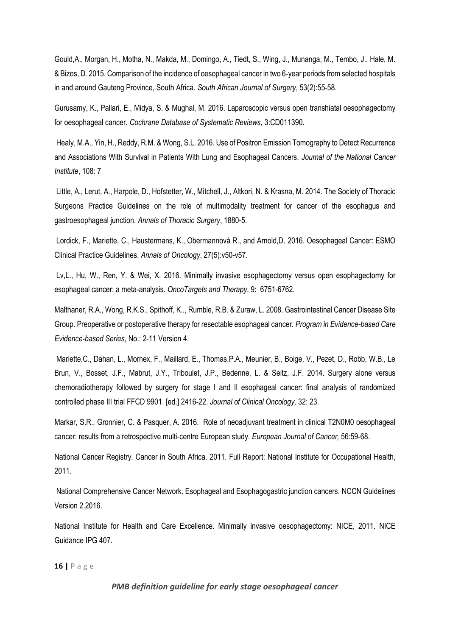Gould,A., Morgan, H., Motha, N., Makda, M., Domingo, A., Tiedt, S., Wing, J., Munanga, M., Tembo, J., Hale, M. & Bizos, D. 2015. Comparison of the incidence of oesophageal cancer in two 6-year periods from selected hospitals in and around Gauteng Province, South Africa. *South African Journal of Surgery*, 53(2):55-58.

Gurusamy, K., Pallari, E., Midya, S. & Mughal, M. 2016. Laparoscopic versus open transhiatal oesophagectomy for oesophageal cancer. *Cochrane Database of Systematic Reviews,* 3:CD011390.

Healy, M.A., Yin, H., Reddy, R.M. & Wong, S.L. 2016. Use of Positron Emission Tomography to Detect Recurrence and Associations With Survival in Patients With Lung and Esophageal Cancers. *Journal of the National Cancer Institute*, 108: 7

Little, A., Lerut, A., Harpole, D., Hofstetter, W., Mitchell, J., Altkori, N. & Krasna, M. 2014. The Society of Thoracic Surgeons Practice Guidelines on the role of multimodality treatment for cancer of the esophagus and gastroesophageal junction. *Annals of Thoracic Surgery*, 1880-5.

Lordick, F., Mariette, C., Haustermans, K., Obermannová R., and Arnold,D. 2016. Oesophageal Cancer: ESMO Clinical Practice Guidelines. *Annals of Oncology*, 27(5):v50-v57.

Lv,L., Hu, W., Ren, Y. & Wei, X. 2016. Minimally invasive esophagectomy versus open esophagectomy for esophageal cancer: a meta-analysis. *OncoTargets and Therapy*, 9: 6751-6762.

Malthaner, R.A., Wong, R.K.S., Spithoff, K.., Rumble, R.B. & Zuraw, L. 2008. Gastrointestinal Cancer Disease Site Group. Preoperative or postoperative therapy for resectable esophageal cancer. *Program in Evidence-based Care Evidence-based Series*, No.: 2-11 Version 4.

Mariette,C., Dahan, L., Mornex, F., Maillard, E., Thomas,P.A., Meunier, B., Boige, V., Pezet, D., Robb, W.B., Le Brun, V., Bosset, J.F., Mabrut, J.Y., Triboulet, J.P., Bedenne, L. & Seitz, J.F. 2014. Surgery alone versus chemoradiotherapy followed by surgery for stage I and II esophageal cancer: final analysis of randomized controlled phase III trial FFCD 9901. [ed.] 2416-22. *Journal of Clinical Oncology,* 32: 23.

Markar, S.R., Gronnier, C. & Pasquer, A. 2016. Role of neoadjuvant treatment in clinical T2N0M0 oesophageal cancer: results from a retrospective multi-centre European study. *European Journal of Cancer,* 56:59-68.

National Cancer Registry. Cancer in South Africa. 2011. Full Report: National Institute for Occupational Health, 2011.

National Comprehensive Cancer Network. Esophageal and Esophagogastric junction cancers. NCCN Guidelines Version 2.2016.

National Institute for Health and Care Excellence. Minimally invasive oesophagectomy: NICE, 2011. NICE Guidance IPG 407.

**16 |** P a g e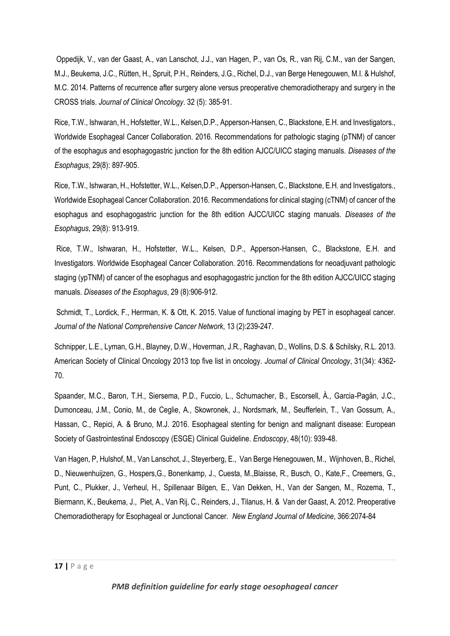Oppedijk, V., van der Gaast, A., van Lanschot, J.J., van Hagen, P., van Os, R., van Rij, C.M., van der Sangen, M.J., Beukema, J.C., Rütten, H., Spruit, P.H., Reinders, J.G., Richel, D.J., van Berge Henegouwen, M.I. & Hulshof, M.C. 2014. Patterns of recurrence after surgery alone versus preoperative chemoradiotherapy and surgery in the CROSS trials. *Journal of Clinical Oncology*. 32 (5): 385-91.

Rice, T.W., Ishwaran, H., Hofstetter, W.L., Kelsen,D.P., Apperson-Hansen, C., Blackstone, E.H. and Investigators., Worldwide Esophageal Cancer Collaboration. 2016. Recommendations for pathologic staging (pTNM) of cancer of the esophagus and esophagogastric junction for the 8th edition AJCC/UICC staging manuals. *Diseases of the Esophagus*, 29(8): 897-905.

Rice, T.W., Ishwaran, H., Hofstetter, W.L., Kelsen,D.P., Apperson-Hansen, C., Blackstone, E.H. and Investigators., Worldwide Esophageal Cancer Collaboration. 2016. Recommendations for clinical staging (cTNM) of cancer of the esophagus and esophagogastric junction for the 8th edition AJCC/UICC staging manuals. *Diseases of the Esophagus*, 29(8): 913-919.

Rice, T.W., Ishwaran, H., Hofstetter, W.L., Kelsen, D.P., Apperson-Hansen, C., Blackstone, E.H. and Investigators. Worldwide Esophageal Cancer Collaboration. 2016. Recommendations for neoadjuvant pathologic staging (ypTNM) of cancer of the esophagus and esophagogastric junction for the 8th edition AJCC/UICC staging manuals. *Diseases of the Esophagus*, 29 (8):906-912.

Schmidt, T., Lordick, F., Herrman, K. & Ott, K. 2015. Value of functional imaging by PET in esophageal cancer. *Journal of the National Comprehensive Cancer Network*, 13 (2):239-247.

Schnipper, L.E., Lyman, G.H., Blayney, D.W., Hoverman, J.R., Raghavan, D., Wollins, D.S. & Schilsky, R.L. 2013. American Society of Clinical Oncology 2013 top five list in oncology. *Journal of Clinical Oncology*, 31(34): 4362- 70.

Spaander, M.C., Baron, T.H., Siersema, P.D., Fuccio, L., Schumacher, B., Escorsell, À., Garcia-Pagán, J.C., Dumonceau, J.M., Conio, M., de Ceglie, A., Skowronek, J., Nordsmark, M., Seufferlein, T., Van Gossum, A., Hassan, C., Repici, A. & Bruno, M.J. 2016. Esophageal stenting for benign and malignant disease: European Society of Gastrointestinal Endoscopy (ESGE) Clinical Guideline. *Endoscopy*, 48(10): 939-48.

Van Hagen, P, Hulshof, M., Van Lanschot, J., Steyerberg, E., Van Berge Henegouwen, M., Wijnhoven, B., Richel, D., Nieuwenhuijzen, G., Hospers,G., Bonenkamp, J., Cuesta, M.,Blaisse, R., Busch, O., Kate,F., Creemers, G., Punt, C., Plukker, J., Verheul, H., Spillenaar Bilgen, E., Van Dekken, H., Van der Sangen, M., Rozema, T., Biermann, K., Beukema, J., Piet, A., Van Rij, C., Reinders, J., Tilanus, H. & Van der Gaast, A. 2012. Preoperative Chemoradiotherapy for Esophageal or Junctional Cancer. *New England Journal of Medicine*, 366:2074-84